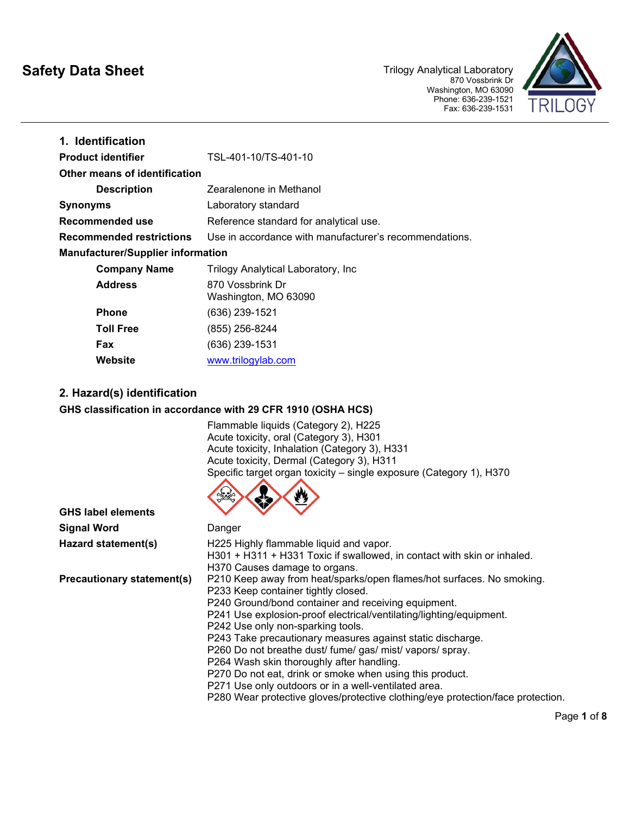# **Safety Data Sheet**

Trilogy Analytical Laboratory 870 Vossbrink Dr Washington, MO 63090 Phone: 636-239-1521 Fax: 636-239-1531



| 1. Identification                        |                                                        |
|------------------------------------------|--------------------------------------------------------|
| <b>Product identifier</b>                | TSL-401-10/TS-401-10                                   |
| <b>Other means of identification</b>     |                                                        |
| <b>Description</b>                       | Zearalenone in Methanol                                |
| <b>Synonyms</b>                          | Laboratory standard                                    |
| Recommended use                          | Reference standard for analytical use.                 |
| <b>Recommended restrictions</b>          | Use in accordance with manufacturer's recommendations. |
| <b>Manufacturer/Supplier information</b> |                                                        |
| <b>Company Name</b>                      | Trilogy Analytical Laboratory, Inc                     |
| <b>Address</b>                           | 870 Vossbrink Dr<br>Washington, MO 63090               |
| <b>Phone</b>                             | (636) 239-1521                                         |
| <b>Toll Free</b>                         | (855) 256-8244                                         |
| <b>Fax</b>                               | (636) 239-1531                                         |
| Website                                  | www.trilogylab.com                                     |

# **2. Hazard(s) identification**

#### **GHS classification in accordance with 29 CFR 1910 (OSHA HCS)**

Flammable liquids (Category 2), H225 Acute toxicity, oral (Category 3), H301 Acute toxicity, Inhalation (Category 3), H331 Acute toxicity, Dermal (Category 3), H311 [Specific](https://www.google.com/url?sa=i&rct=j&q=&esrc=s&source=images&cd=&cad=rja&uact=8&ved=0ahUKEwj6rrWok4rQAhUM1oMKHaIJD7cQjRwIBw&url=https://www.osha.gov/dsg/hazcom/pictograms/&psig=AFQjCNF_Mu9990RfXFVt8BWBkjc-L-gtqQ&ust=1478178790927072) target organ toxicity – single exposure (Category 1), H370



| <b>GHS label elements</b>         | w                                                                                                                                                                                                                                                                                                                                                                           |
|-----------------------------------|-----------------------------------------------------------------------------------------------------------------------------------------------------------------------------------------------------------------------------------------------------------------------------------------------------------------------------------------------------------------------------|
| <b>Signal Word</b>                | Danger                                                                                                                                                                                                                                                                                                                                                                      |
| Hazard statement(s)               | H225 Highly flammable liquid and vapor.<br>H301 + H311 + H331 Toxic if swallowed, in contact with skin or inhaled.<br>H370 Causes damage to organs.                                                                                                                                                                                                                         |
| <b>Precautionary statement(s)</b> | P210 Keep away from heat/sparks/open flames/hot surfaces. No smoking.<br>P233 Keep container tightly closed.<br>P240 Ground/bond container and receiving equipment.<br>P241 Use explosion-proof electrical/ventilating/lighting/equipment.<br>P242 Use only non-sparking tools.                                                                                             |
|                                   | P243 Take precautionary measures against static discharge.<br>P260 Do not breathe dust/ fume/ gas/ mist/ vapors/ spray.<br>P264 Wash skin thoroughly after handling.<br>P270 Do not eat, drink or smoke when using this product.<br>P271 Use only outdoors or in a well-ventilated area.<br>P280 Wear protective gloves/protective clothing/eye protection/face protection. |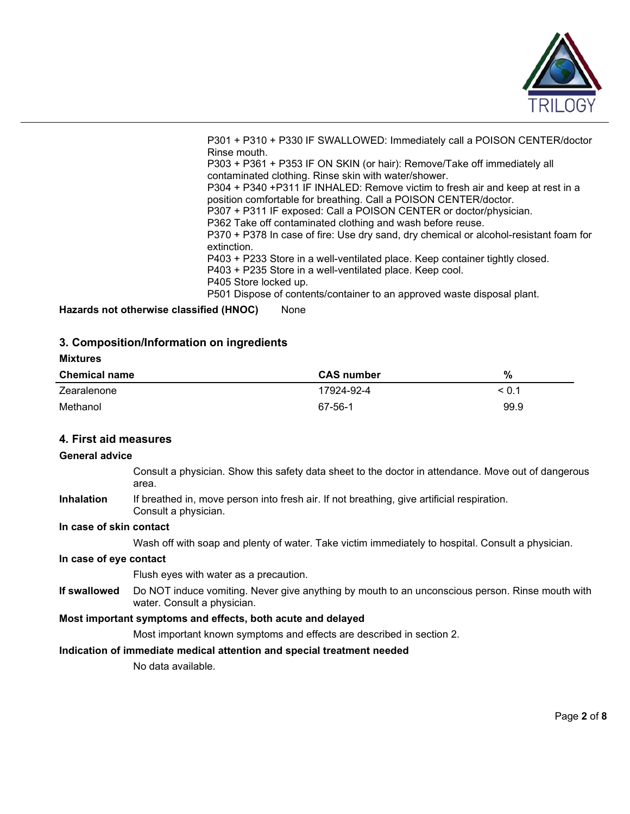

P301 + P310 + P330 IF SWALLOWED: Immediately call a POISON CENTER/doctor Rinse mouth. P303 + P361 + P353 IF ON SKIN (or hair): Remove/Take off immediately all contaminated clothing. Rinse skin with water/shower. P304 + P340 +P311 IF INHALED: Remove victim to fresh air and keep at rest in a position comfortable for breathing. Call a POISON CENTER/doctor. P307 + P311 IF exposed: Call a POISON CENTER or doctor/physician. P362 Take off contaminated clothing and wash before reuse. P370 + P378 In case of fire: Use dry sand, dry chemical or alcohol-resistant foam for extinction. P403 + P233 Store in a well-ventilated place. Keep container tightly closed. P403 + P235 Store in a well-ventilated place. Keep cool. P405 Store locked up. P501 Dispose of contents/container to an approved waste disposal plant.

**Hazards not otherwise classified (HNOC)** None

# **3. Composition/Information on ingredients**

# **Mixtures Chemical name CAS number %** Zearalenone 17924-92-4 < 0.1 Methanol 67-56-1 99.9

# **4. First aid measures**

#### **General advice**

- Consult a physician. Show this safety data sheet to the doctor in attendance. Move out of dangerous area.
- **Inhalation** If breathed in, move person into fresh air. If not breathing, give artificial respiration. Consult a physician.

#### **In case of skin contact**

Wash off with soap and plenty of water. Take victim immediately to hospital. Consult a physician.

#### **In case of eye contact**

Flush eyes with water as a precaution.

**If swallowed** Do NOT induce vomiting. Never give anything by mouth to an unconscious person. Rinse mouth with water. Consult a physician.

#### **Most important symptoms and effects, both acute and delayed**

Most important known symptoms and effects are described in section 2.

#### **Indication of immediate medical attention and special treatment needed**

No data available.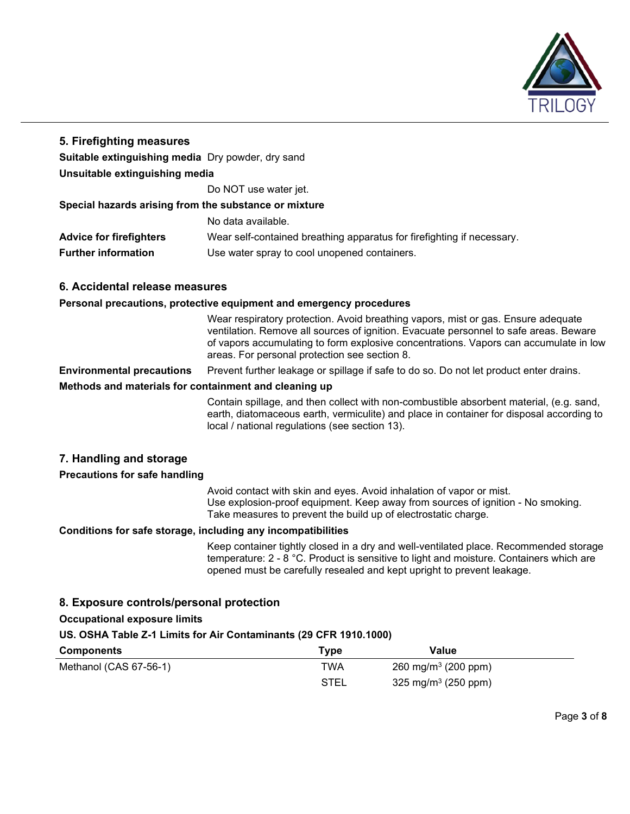

# **5. Firefighting measures**

**Suitable extinguishing media** Dry powder, dry sand

**Unsuitable extinguishing media**

Do NOT use water jet.

#### **Special hazards arising from the substance or mixture**

No data available.

**Advice for firefighters** Wear self-contained breathing apparatus for firefighting if necessary.

**Further information** Use water spray to cool unopened containers.

# **6. Accidental release measures**

#### **Personal precautions, protective equipment and emergency procedures**

Wear respiratory protection. Avoid breathing vapors, mist or gas. Ensure adequate ventilation. Remove all sources of ignition. Evacuate personnel to safe areas. Beware of vapors accumulating to form explosive concentrations. Vapors can accumulate in low areas. For personal protection see section 8.

**Environmental precautions** Prevent further leakage or spillage if safe to do so. Do not let product enter drains.

# **Methods and materials for containment and cleaning up**

Contain spillage, and then collect with non-combustible absorbent material, (e.g. sand, earth, diatomaceous earth, vermiculite) and place in container for disposal according to local / national regulations (see section 13).

# **7. Handling and storage**

# **Precautions for safe handling**

Avoid contact with skin and eyes. Avoid inhalation of vapor or mist. Use explosion-proof equipment. Keep away from sources of ignition - No smoking. Take measures to prevent the build up of electrostatic charge.

# **Conditions for safe storage, including any incompatibilities**

Keep container tightly closed in a dry and well-ventilated place. Recommended storage temperature: 2 - 8 °C. Product is sensitive to light and moisture. Containers which are opened must be carefully resealed and kept upright to prevent leakage.

# **8. Exposure controls/personal protection**

**Occupational exposure limits**

# **US. OSHA Table Z-1 Limits for Air Contaminants (29 CFR 1910.1000)**

| <b>Components</b>      | Type | Value                           |  |
|------------------------|------|---------------------------------|--|
| Methanol (CAS 67-56-1) | TWA  | 260 mg/m <sup>3</sup> (200 ppm) |  |
|                        | STEL | 325 mg/m <sup>3</sup> (250 ppm) |  |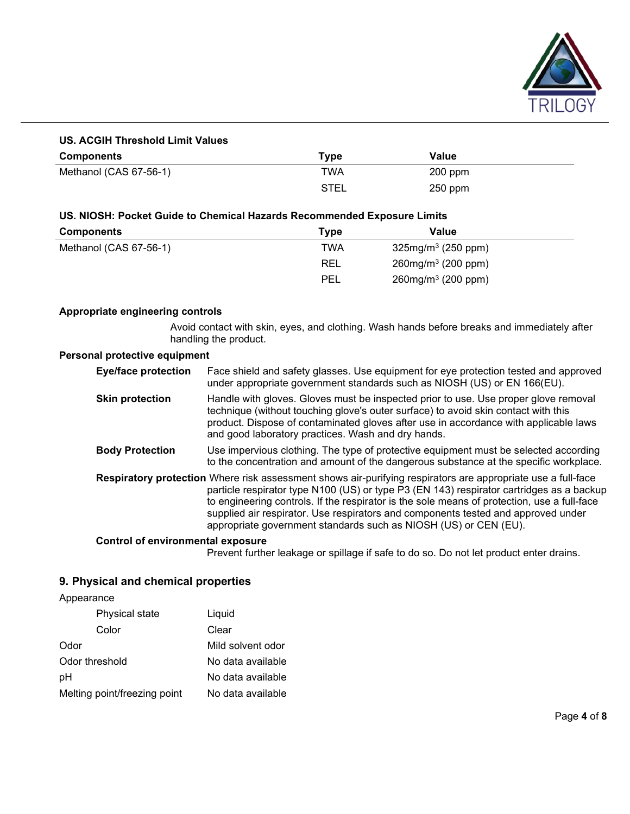

# **US. ACGIH Threshold Limit Values**

| <b>Components</b>      | Type        | Value     |
|------------------------|-------------|-----------|
| Methanol (CAS 67-56-1) | TWA         | $200$ ppm |
|                        | <b>STEL</b> | $250$ ppm |

# **US. NIOSH: Pocket Guide to Chemical Hazards Recommended Exposure Limits**

| <b>Components</b>      | Type       | Value                             |  |
|------------------------|------------|-----------------------------------|--|
| Methanol (CAS 67-56-1) | TWA        | 325mg/m <sup>3</sup> (250 ppm)    |  |
|                        | REL        | $260$ mg/m <sup>3</sup> (200 ppm) |  |
|                        | <b>PEL</b> | $260$ mg/m $3(200$ ppm)           |  |

#### **Appropriate engineering controls**

Avoid contact with skin, eyes, and clothing. Wash hands before breaks and immediately after handling the product.

# **Personal protective equipment**

| <b>Eye/face protection</b>               | Face shield and safety glasses. Use equipment for eye protection tested and approved<br>under appropriate government standards such as NIOSH (US) or EN 166(EU).                                                                                                                                                                                                                                                                                                 |
|------------------------------------------|------------------------------------------------------------------------------------------------------------------------------------------------------------------------------------------------------------------------------------------------------------------------------------------------------------------------------------------------------------------------------------------------------------------------------------------------------------------|
| <b>Skin protection</b>                   | Handle with gloves. Gloves must be inspected prior to use. Use proper glove removal<br>technique (without touching glove's outer surface) to avoid skin contact with this<br>product. Dispose of contaminated gloves after use in accordance with applicable laws<br>and good laboratory practices. Wash and dry hands.                                                                                                                                          |
| <b>Body Protection</b>                   | Use impervious clothing. The type of protective equipment must be selected according<br>to the concentration and amount of the dangerous substance at the specific workplace.                                                                                                                                                                                                                                                                                    |
|                                          | Respiratory protection Where risk assessment shows air-purifying respirators are appropriate use a full-face<br>particle respirator type N100 (US) or type P3 (EN 143) respirator cartridges as a backup<br>to engineering controls. If the respirator is the sole means of protection, use a full-face<br>supplied air respirator. Use respirators and components tested and approved under<br>appropriate government standards such as NIOSH (US) or CEN (EU). |
| <b>Control of environmental exposure</b> |                                                                                                                                                                                                                                                                                                                                                                                                                                                                  |

Prevent further leakage or spillage if safe to do so. Do not let product enter drains.

# **9. Physical and chemical properties**

Appearance

| Physical state               | Liquid             |
|------------------------------|--------------------|
| Color                        | Clear              |
| Odor                         | Mild solvent odor  |
| Odor threshold               | No data available  |
| рH                           | No data available. |
| Melting point/freezing point | No data available  |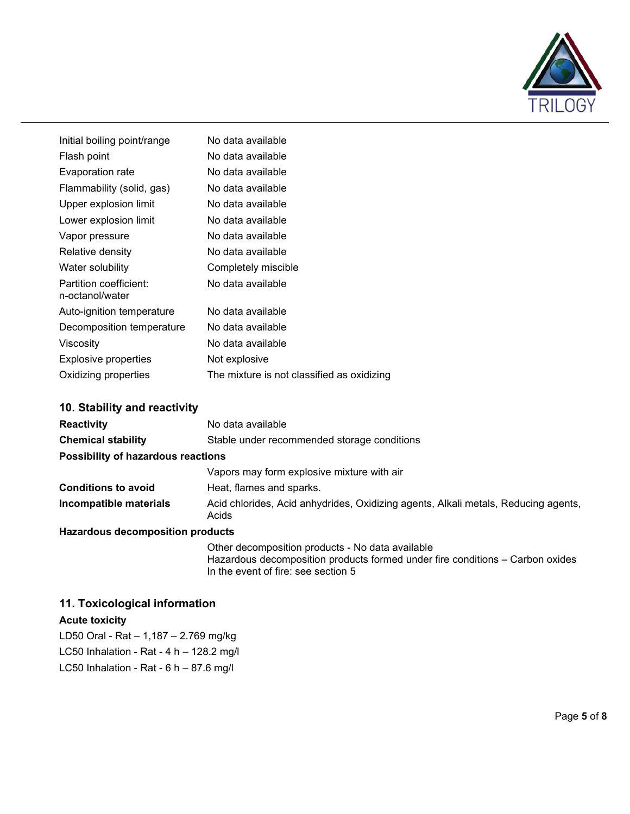

| Initial boiling point/range               | No data available                          |
|-------------------------------------------|--------------------------------------------|
| Flash point                               | No data available                          |
| Evaporation rate                          | No data available                          |
| Flammability (solid, gas)                 | No data available                          |
| Upper explosion limit                     | No data available                          |
| Lower explosion limit                     | No data available                          |
| Vapor pressure                            | No data available                          |
| Relative density                          | No data available                          |
| Water solubility                          | Completely miscible                        |
| Partition coefficient:<br>n-octanol/water | No data available                          |
| Auto-ignition temperature                 | No data available                          |
| Decomposition temperature                 | No data available                          |
| Viscosity                                 | No data available                          |
| Explosive properties                      | Not explosive                              |
| Oxidizing properties                      | The mixture is not classified as oxidizing |

# **10. Stability and reactivity**

| <b>Reactivity</b>                         | No data available                                                                           |  |  |
|-------------------------------------------|---------------------------------------------------------------------------------------------|--|--|
| <b>Chemical stability</b>                 | Stable under recommended storage conditions                                                 |  |  |
| <b>Possibility of hazardous reactions</b> |                                                                                             |  |  |
|                                           | Vapors may form explosive mixture with air                                                  |  |  |
| <b>Conditions to avoid</b>                | Heat, flames and sparks.                                                                    |  |  |
| Incompatible materials                    | Acid chlorides, Acid anhydrides, Oxidizing agents, Alkali metals, Reducing agents,<br>Acids |  |  |
| Lle-endere desennentiten nuodrate         |                                                                                             |  |  |

#### **Hazardous decomposition products**

Other decomposition products - No data available Hazardous decomposition products formed under fire conditions – Carbon oxides In the event of fire: see section 5

# **11. Toxicological information**

**Acute toxicity** 

LD50 Oral - Rat – 1,187 – 2.769 mg/kg LC50 Inhalation - Rat -  $4 h - 128.2 mg/l$ LC50 Inhalation - Rat -  $6 h - 87.6 mg/l$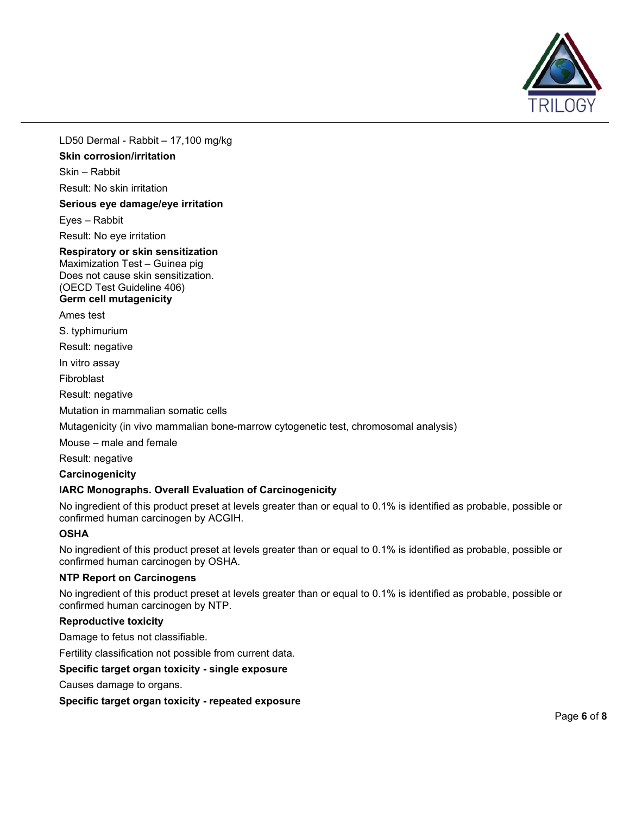

LD50 Dermal - Rabbit – 17,100 mg/kg

# **Skin corrosion/irritation**

Skin – Rabbit

Result: No skin irritation

**Serious eye damage/eye irritation**

Eyes – Rabbit

Result: No eye irritation

# **Respiratory or skin sensitization**

Maximization Test – Guinea pig Does not cause skin sensitization. (OECD Test Guideline 406)

#### **Germ cell mutagenicity**

Ames test

S. typhimurium

Result: negative

In vitro assay

Fibroblast

Result: negative

Mutation in mammalian somatic cells

Mutagenicity (in vivo mammalian bone-marrow cytogenetic test, chromosomal analysis)

Mouse – male and female

Result: negative

**Carcinogenicity**

# **IARC Monographs. Overall Evaluation of Carcinogenicity**

No ingredient of this product preset at levels greater than or equal to 0.1% is identified as probable, possible or confirmed human carcinogen by ACGIH.

# **OSHA**

No ingredient of this product preset at levels greater than or equal to 0.1% is identified as probable, possible or confirmed human carcinogen by OSHA.

#### **NTP Report on Carcinogens**

No ingredient of this product preset at levels greater than or equal to 0.1% is identified as probable, possible or confirmed human carcinogen by NTP.

# **Reproductive toxicity**

Damage to fetus not classifiable.

Fertility classification not possible from current data.

# **Specific target organ toxicity - single exposure**

Causes damage to organs.

# **Specific target organ toxicity - repeated exposure**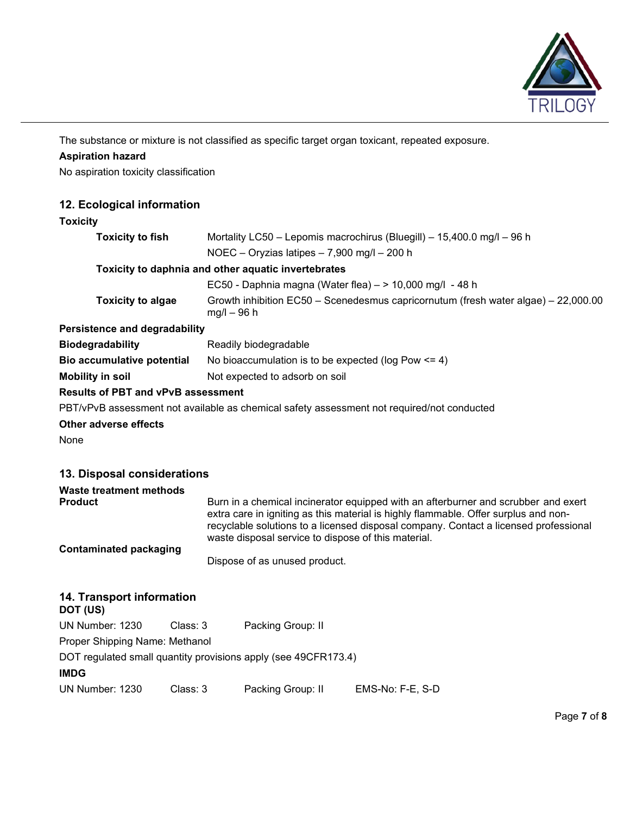

The substance or mixture is not classified as specific target organ toxicant, repeated exposure.

# **Aspiration hazard**

No aspiration toxicity classification

# **12. Ecological information**

# **Toxicity**

| <b>Toxicity to fish</b>              | Mortality LC50 - Lepomis macrochirus (Bluegill) - 15,400.0 mg/l - 96 h                              |  |  |
|--------------------------------------|-----------------------------------------------------------------------------------------------------|--|--|
|                                      | NOEC - Oryzias latipes $-7,900$ mg/l $-200$ h                                                       |  |  |
|                                      | Toxicity to daphnia and other aquatic invertebrates                                                 |  |  |
|                                      | EC50 - Daphnia magna (Water flea) $-$ > 10,000 mg/l - 48 h                                          |  |  |
| <b>Toxicity to algae</b>             | Growth inhibition EC50 – Scenedesmus capricornutum (fresh water algae) – 22,000.00<br>$mg/l - 96 h$ |  |  |
| <b>Persistence and degradability</b> |                                                                                                     |  |  |
| <b>Biodegradability</b>              | Readily biodegradable                                                                               |  |  |
| Bio accumulative potential           | No bioaccumulation is to be expected ( $log Pow \le 4$ )                                            |  |  |
| Mobility in soil                     | Not expected to adsorb on soil                                                                      |  |  |

#### **Results of PBT and vPvB assessment**

PBT/vPvB assessment not available as chemical safety assessment not required/not conducted

# **Other adverse effects**

None

# **13. Disposal considerations**

| Waste treatment methods<br><b>Product</b> | Burn in a chemical incinerator equipped with an afterburner and scrubber and exert                                                                                                                                                 |  |
|-------------------------------------------|------------------------------------------------------------------------------------------------------------------------------------------------------------------------------------------------------------------------------------|--|
|                                           | extra care in igniting as this material is highly flammable. Offer surplus and non-<br>recyclable solutions to a licensed disposal company. Contact a licensed professional<br>waste disposal service to dispose of this material. |  |
| <b>Contaminated packaging</b>             | Dispose of as unused product.                                                                                                                                                                                                      |  |
| 14. Transport information<br>DOT (US)     |                                                                                                                                                                                                                                    |  |
| Class: 3<br>UN Number: 1230               | Packing Group: II                                                                                                                                                                                                                  |  |
| Proper Shipping Name: Methanol            |                                                                                                                                                                                                                                    |  |
| <b>IMDG</b>                               | DOT regulated small quantity provisions apply (see 49CFR173.4)                                                                                                                                                                     |  |

| UN Number: 1230 | Class: 3 | Packing Group: II | EMS-No: F-E, S-D |
|-----------------|----------|-------------------|------------------|
|-----------------|----------|-------------------|------------------|